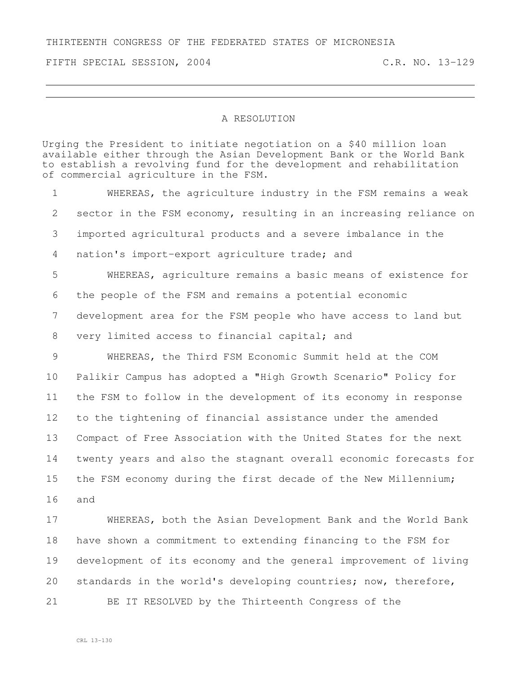THIRTEENTH CONGRESS OF THE FEDERATED STATES OF MICRONESIA

FIFTH SPECIAL SESSION, 2004 C.R. NO. 13-129

## A RESOLUTION

Urging the President to initiate negotiation on a \$40 million loan available either through the Asian Development Bank or the World Bank to establish a revolving fund for the development and rehabilitation of commercial agriculture in the FSM.

 WHEREAS, the agriculture industry in the FSM remains a weak sector in the FSM economy, resulting in an increasing reliance on imported agricultural products and a severe imbalance in the nation's import-export agriculture trade; and WHEREAS, agriculture remains a basic means of existence for the people of the FSM and remains a potential economic development area for the FSM people who have access to land but very limited access to financial capital; and WHEREAS, the Third FSM Economic Summit held at the COM Palikir Campus has adopted a "High Growth Scenario" Policy for the FSM to follow in the development of its economy in response to the tightening of financial assistance under the amended Compact of Free Association with the United States for the next twenty years and also the stagnant overall economic forecasts for the FSM economy during the first decade of the New Millennium; and WHEREAS, both the Asian Development Bank and the World Bank have shown a commitment to extending financing to the FSM for development of its economy and the general improvement of living

standards in the world's developing countries; now, therefore,

BE IT RESOLVED by the Thirteenth Congress of the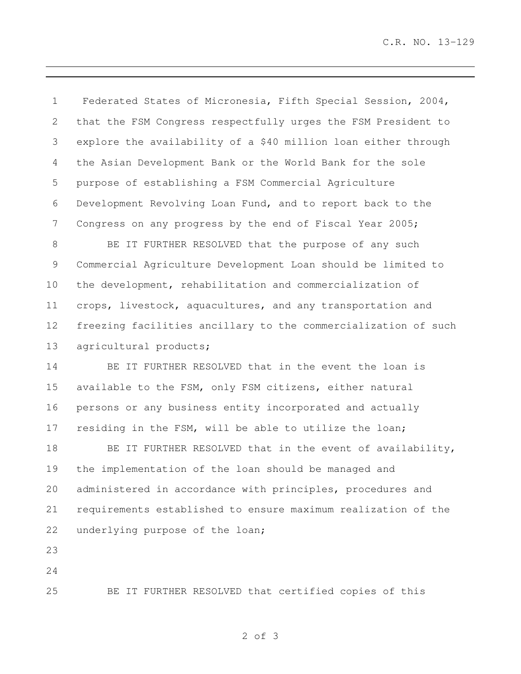C.R. NO. 13-129

 Federated States of Micronesia, Fifth Special Session, 2004, that the FSM Congress respectfully urges the FSM President to explore the availability of a \$40 million loan either through the Asian Development Bank or the World Bank for the sole purpose of establishing a FSM Commercial Agriculture Development Revolving Loan Fund, and to report back to the Congress on any progress by the end of Fiscal Year 2005;

 BE IT FURTHER RESOLVED that the purpose of any such Commercial Agriculture Development Loan should be limited to the development, rehabilitation and commercialization of crops, livestock, aquacultures, and any transportation and freezing facilities ancillary to the commercialization of such 13 agricultural products;

 BE IT FURTHER RESOLVED that in the event the loan is available to the FSM, only FSM citizens, either natural persons or any business entity incorporated and actually residing in the FSM, will be able to utilize the loan;

18 BE IT FURTHER RESOLVED that in the event of availability, the implementation of the loan should be managed and administered in accordance with principles, procedures and requirements established to ensure maximum realization of the underlying purpose of the loan;

BE IT FURTHER RESOLVED that certified copies of this

of 3